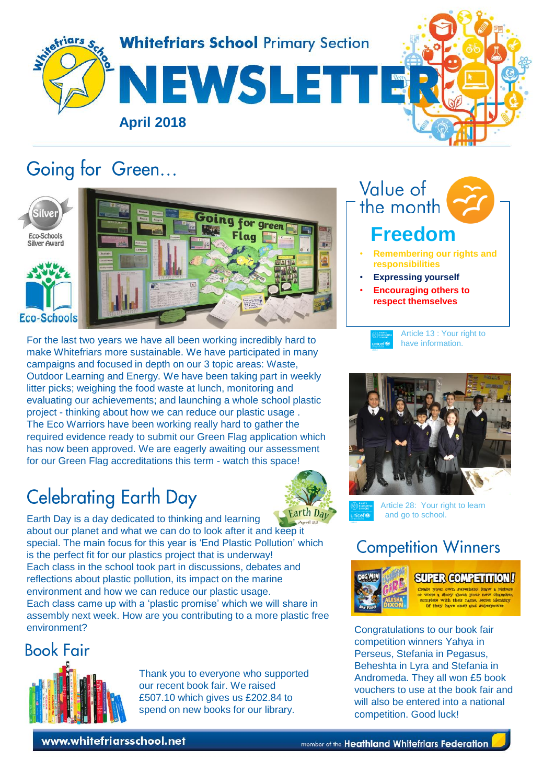

# Going for Green...



For the last two years we have all been working incredibly hard to make Whitefriars more sustainable. We have participated in many campaigns and focused in depth on our 3 topic areas: Waste, Outdoor Learning and Energy. We have been taking part in weekly litter picks; weighing the food waste at lunch, monitoring and evaluating our achievements; and launching a whole school plastic project - thinking about how we can reduce our plastic usage . The Eco Warriors have been working really hard to gather the required evidence ready to submit our Green Flag application which has now been approved. We are eagerly awaiting our assessment for our Green Flag accreditations this term - watch this space!

# **Celebrating Earth Day**

Earth Day is a day dedicated to thinking and learning

is the perfect fit for our plastics project that is underway! Each class in the school took part in discussions, debates and reflections about plastic pollution, its impact on the marine environment and how we can reduce our plastic usage.

about our planet and what we can do to look after it and [keep it](http://www.google.co.uk/url?sa=i&rct=j&q=&esrc=s&source=images&cd=&cad=rja&uact=8&ved=2ahUKEwiH0o_nm9XaAhXFORQKHZ8wDh8QjRx6BAgAEAU&url=http://www.stpaulcityschool.org/news/2018/3/8/earth-day-is-just-around-the-cornersign-up-now-to-recieve-a-free-tree-to-plant&psig=AOvVaw1XYVc_YS-gAsLwfUT-RfC-&ust=1524738444858774)  special. The main focus for this year is 'End Plastic Pollution' which

Each class came up with a 'plastic promise' which we will share in assembly next week. How are you contributing to a more plastic free



Article 28: Your right to learn and go to school.

 **Freedom**

**responsibilities** • **Expressing yourself** • **Encouraging others to respect themselves**

Value of the month

• **Remembering our rights and** 

Article 13 : Your right to have information.



**SUPER COMPETITION!** 

Congratulations to our book fair competition winners Yahya in Perseus, Stefania in Pegasus, Beheshta in Lyra and Stefania in Andromeda. They all won £5 book vouchers to use at the book fair and will also be entered into a national competition. Good luck!

**Book Fair** 

environment?



Thank you to everyone who supported our recent book fair. We raised £507.10 which gives us £202.84 to spend on new books for our library.

www.whitefriarsschool.net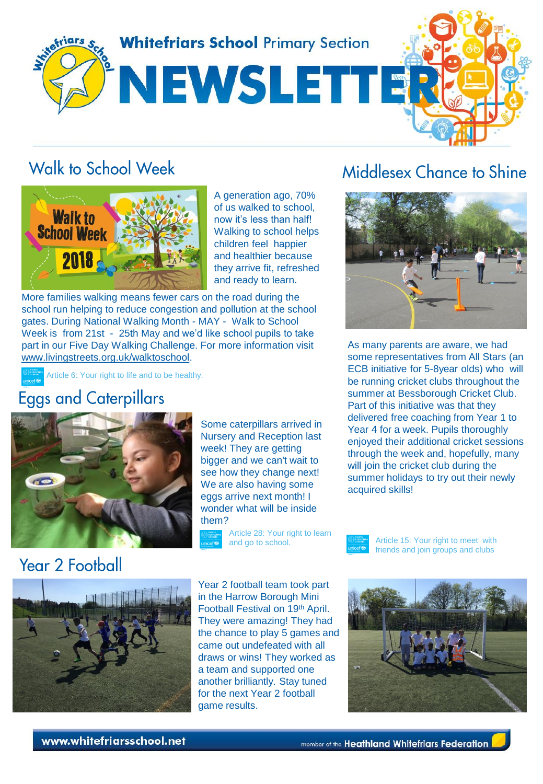

## Walk to School Week



A generation ago, 70% of us walked to school, now it's less than half! Walking to school helps children feel happier and healthier because they arrive fit, refreshed and ready to learn.

More families walking means fewer cars on the road during the school run helping to reduce congestion and pollution at the school gates. During National Walking Month - MAY - Walk to School Week is from 21st - 25th May and we'd like school pupils to take part in our Five Day Walking Challenge. For more information visit [www.livingstreets.org.uk/walktoschool.](http://www.livingstreets.org.uk/walktoschool)

Article 6: Your right to life and to be healthy.

### **Eggs and Caterpillars**



Some caterpillars arrived in Nursery and Reception last week! They are getting bigger and we can't wait to see how they change next! We are also having some eggs arrive next month! I wonder what will be inside them?

Article 28: Your right to learn and go to school.

#### Middlesex Chance to Shine



As many parents are aware, we had some representatives from All Stars (an ECB initiative for 5-8year olds) who will be running cricket clubs throughout the summer at Bessborough Cricket Club. Part of this initiative was that they delivered free coaching from Year 1 to Year 4 for a week. Pupils thoroughly enjoyed their additional cricket sessions through the week and, hopefully, many will join the cricket club during the summer holidays to try out their newly acquired skills!



Article 15: Your right to meet with friends and join groups and clubs



Year 2 football team took part in the Harrow Borough Mini Football Festival on 19th April. They were amazing! They had the chance to play 5 games and came out undefeated with all draws or wins! They worked as a team and supported one another brilliantly. Stay tuned for the next Year 2 football game results.